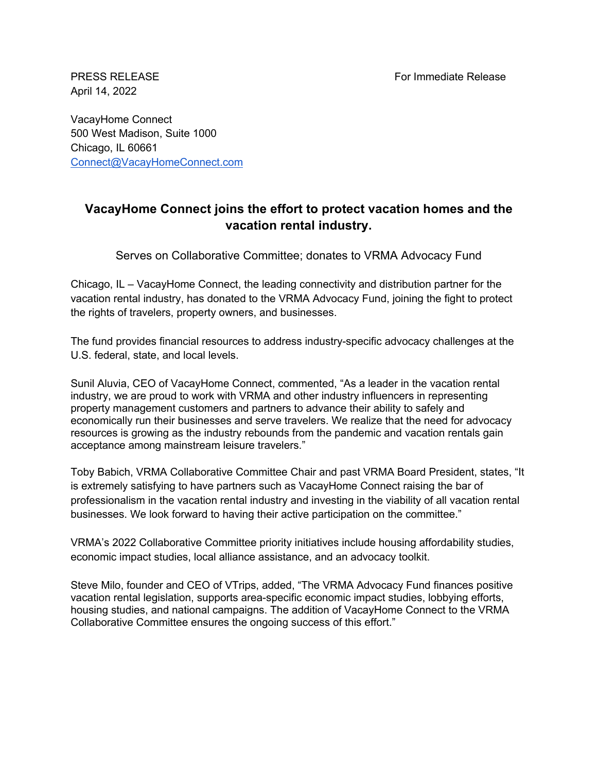PRESS RELEASE For Immediate Release

April 14, 2022

VacayHome Connect 500 West Madison, Suite 1000 Chicago, IL 60661 Connect@VacayHomeConnect.com

## **VacayHome Connect joins the effort to protect vacation homes and the vacation rental industry.**

Serves on Collaborative Committee; donates to VRMA Advocacy Fund

Chicago, IL – VacayHome Connect, the leading connectivity and distribution partner for the vacation rental industry, has donated to the VRMA Advocacy Fund, joining the fight to protect the rights of travelers, property owners, and businesses.

The fund provides financial resources to address industry-specific advocacy challenges at the U.S. federal, state, and local levels.

Sunil Aluvia, CEO of VacayHome Connect, commented, "As a leader in the vacation rental industry, we are proud to work with VRMA and other industry influencers in representing property management customers and partners to advance their ability to safely and economically run their businesses and serve travelers. We realize that the need for advocacy resources is growing as the industry rebounds from the pandemic and vacation rentals gain acceptance among mainstream leisure travelers."

Toby Babich, VRMA Collaborative Committee Chair and past VRMA Board President, states, "It is extremely satisfying to have partners such as VacayHome Connect raising the bar of professionalism in the vacation rental industry and investing in the viability of all vacation rental businesses. We look forward to having their active participation on the committee."

VRMA's 2022 Collaborative Committee priority initiatives include housing affordability studies, economic impact studies, local alliance assistance, and an advocacy toolkit.

Steve Milo, founder and CEO of VTrips, added, "The VRMA Advocacy Fund finances positive vacation rental legislation, supports area-specific economic impact studies, lobbying efforts, housing studies, and national campaigns. The addition of VacayHome Connect to the VRMA Collaborative Committee ensures the ongoing success of this effort."